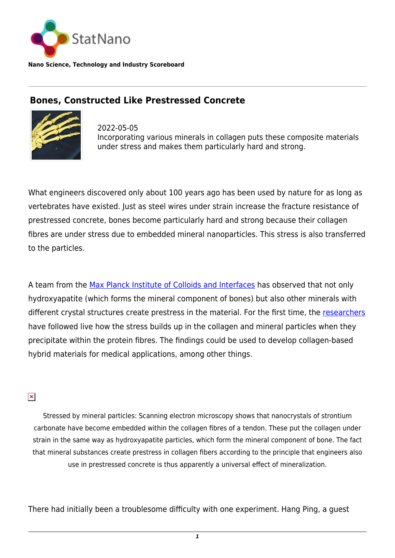

**Nano Science, Technology and Industry Scoreboard**

## **Bones, Constructed Like Prestressed Concrete**



2022-05-05 Incorporating various minerals in collagen puts these composite materials under stress and makes them particularly hard and strong.

What engineers discovered only about 100 years ago has been used by nature for as long as vertebrates have existed. Just as steel wires under strain increase the fracture resistance of prestressed concrete, bones become particularly hard and strong because their collagen fibres are under stress due to embedded mineral nanoparticles. This stress is also transferred to the particles.

A team from the [Max Planck Institute of Colloids and Interfaces](https://www.mpikg.mpg.de/en) has observed that not only hydroxyapatite (which forms the mineral component of bones) but also other minerals with different crystal structures create prestress in the material. For the first time, the [researchers](https://www.science.org/doi/10.1126/science.abm2664) have followed live how the stress builds up in the collagen and mineral particles when they precipitate within the protein fibres. The findings could be used to develop collagen-based hybrid materials for medical applications, among other things.

## $\pmb{\times}$

Stressed by mineral particles: Scanning electron microscopy shows that nanocrystals of strontium carbonate have become embedded within the collagen fibres of a tendon. These put the collagen under strain in the same way as hydroxyapatite particles, which form the mineral component of bone. The fact that mineral substances create prestress in collagen fibers according to the principle that engineers also use in prestressed concrete is thus apparently a universal effect of mineralization.

There had initially been a troublesome difficulty with one experiment. Hang Ping, a guest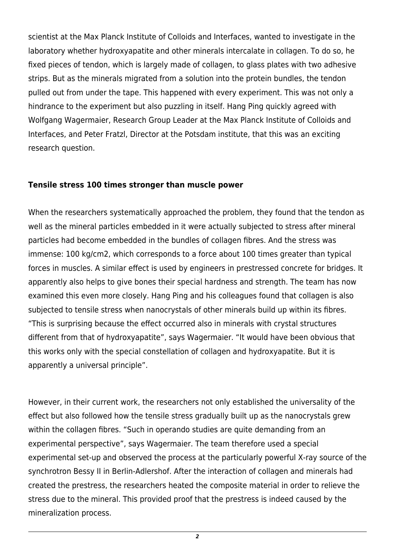scientist at the Max Planck Institute of Colloids and Interfaces, wanted to investigate in the laboratory whether hydroxyapatite and other minerals intercalate in collagen. To do so, he fixed pieces of tendon, which is largely made of collagen, to glass plates with two adhesive strips. But as the minerals migrated from a solution into the protein bundles, the tendon pulled out from under the tape. This happened with every experiment. This was not only a hindrance to the experiment but also puzzling in itself. Hang Ping quickly agreed with Wolfgang Wagermaier, Research Group Leader at the Max Planck Institute of Colloids and Interfaces, and Peter Fratzl, Director at the Potsdam institute, that this was an exciting research question.

## **Tensile stress 100 times stronger than muscle power**

When the researchers systematically approached the problem, they found that the tendon as well as the mineral particles embedded in it were actually subjected to stress after mineral particles had become embedded in the bundles of collagen fibres. And the stress was immense: 100 kg/cm2, which corresponds to a force about 100 times greater than typical forces in muscles. A similar effect is used by engineers in prestressed concrete for bridges. It apparently also helps to give bones their special hardness and strength. The team has now examined this even more closely. Hang Ping and his colleagues found that collagen is also subjected to tensile stress when nanocrystals of other minerals build up within its fibres. "This is surprising because the effect occurred also in minerals with crystal structures different from that of hydroxyapatite", says Wagermaier. "It would have been obvious that this works only with the special constellation of collagen and hydroxyapatite. But it is apparently a universal principle".

However, in their current work, the researchers not only established the universality of the effect but also followed how the tensile stress gradually built up as the nanocrystals grew within the collagen fibres. "Such in operando studies are quite demanding from an experimental perspective", says Wagermaier. The team therefore used a special experimental set-up and observed the process at the particularly powerful X-ray source of the synchrotron Bessy II in Berlin-Adlershof. After the interaction of collagen and minerals had created the prestress, the researchers heated the composite material in order to relieve the stress due to the mineral. This provided proof that the prestress is indeed caused by the mineralization process.